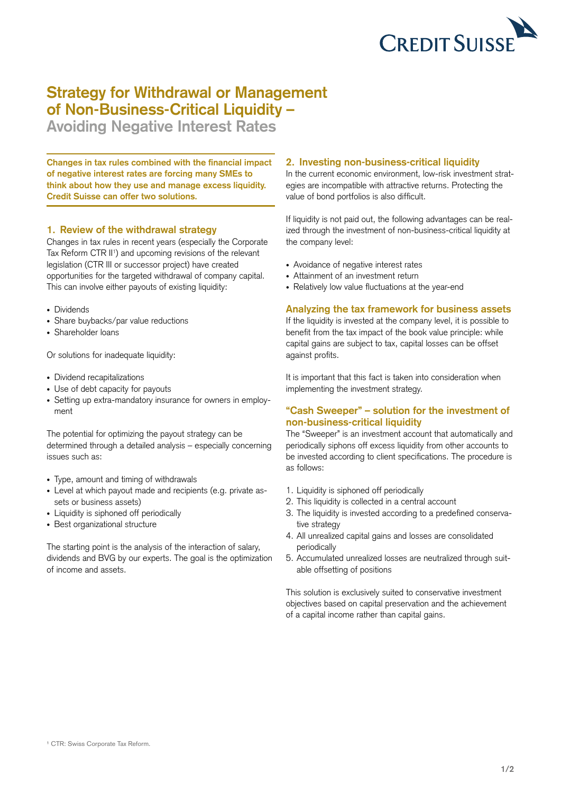

# **Strategy for Withdrawal or Management of Non-Business-Critical Liquidity –**

**Avoiding Negative Interest Rates**

**Changes in tax rules combined with the financial impact of negative interest rates are forcing many SMEs to think about how they use and manage excess liquidity. Credit Suisse can offer two solutions.**

#### **1. Review of the withdrawal strategy**

Changes in tax rules in recent years (especially the Corporate Tax Reform CTR II<sup>1</sup>) and upcoming revisions of the relevant legislation (CTR III or successor project) have created opportunities for the targeted withdrawal of company capital. This can involve either payouts of existing liquidity:

- Dividends
- Share buybacks/par value reductions
- Shareholder loans

Or solutions for inadequate liquidity:

- • Dividend recapitalizations
- Use of debt capacity for payouts
- Setting up extra-mandatory insurance for owners in employment

The potential for optimizing the payout strategy can be determined through a detailed analysis – especially concerning issues such as:

- • Type, amount and timing of withdrawals
- Level at which payout made and recipients (e.g. private assets or business assets)
- Liquidity is siphoned off periodically
- Best organizational structure

The starting point is the analysis of the interaction of salary, dividends and BVG by our experts. The goal is the optimization of income and assets.

### **2. Investing non-business-critical liquidity**

In the current economic environment, low-risk investment strategies are incompatible with attractive returns. Protecting the value of bond portfolios is also difficult.

If liquidity is not paid out, the following advantages can be realized through the investment of non-business-critical liquidity at the company level:

- • Avoidance of negative interest rates
- Attainment of an investment return
- Relatively low value fluctuations at the year-end

## **Analyzing the tax framework for business assets**

If the liquidity is invested at the company level, it is possible to benefit from the tax impact of the book value principle: while capital gains are subject to tax, capital losses can be offset against profits.

It is important that this fact is taken into consideration when implementing the investment strategy.

#### **"Cash Sweeper" – solution for the investment of non-business-critical liquidity**

The "Sweeper" is an investment account that automatically and periodically siphons off excess liquidity from other accounts to be invested according to client specifications. The procedure is as follows:

- 1. Liquidity is siphoned off periodically
- 2. This liquidity is collected in a central account
- 3. The liquidity is invested according to a predefined conservative strategy
- 4. All unrealized capital gains and losses are consolidated periodically
- 5. Accumulated unrealized losses are neutralized through suitable offsetting of positions

This solution is exclusively suited to conservative investment objectives based on capital preservation and the achievement of a capital income rather than capital gains.